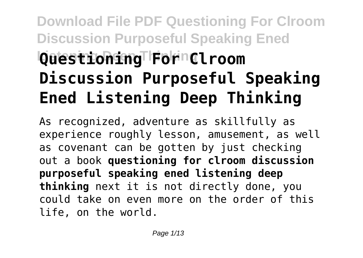## **Download File PDF Questioning For Clroom Discussion Purposeful Speaking Ened Listening Deep Thinking Questioning For Clroom Discussion Purposeful Speaking Ened Listening Deep Thinking**

As recognized, adventure as skillfully as experience roughly lesson, amusement, as well as covenant can be gotten by just checking out a book **questioning for clroom discussion purposeful speaking ened listening deep thinking** next it is not directly done, you could take on even more on the order of this life, on the world.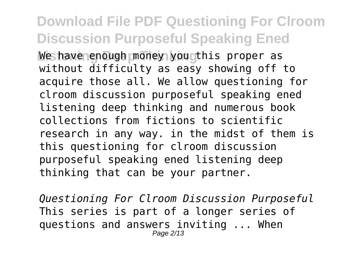## **Download File PDF Questioning For Clroom Discussion Purposeful Speaking Ened** We have enough money you this proper as without difficulty as easy showing off to acquire those all. We allow questioning for clroom discussion purposeful speaking ened listening deep thinking and numerous book collections from fictions to scientific research in any way. in the midst of them is this questioning for clroom discussion purposeful speaking ened listening deep thinking that can be your partner.

*Questioning For Clroom Discussion Purposeful* This series is part of a longer series of questions and answers inviting ... When Page 2/13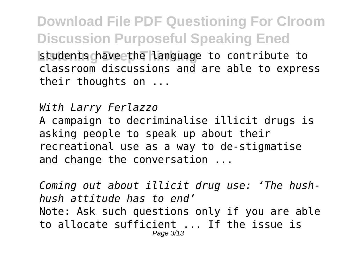**Download File PDF Questioning For Clroom Discussion Purposeful Speaking Ened Listudents chave the Language to contribute to** classroom discussions and are able to express their thoughts on ...

*With Larry Ferlazzo* A campaign to decriminalise illicit drugs is asking people to speak up about their recreational use as a way to de-stigmatise and change the conversation ...

*Coming out about illicit drug use: 'The hushhush attitude has to end'* Note: Ask such questions only if you are able to allocate sufficient ... If the issue is Page 3/13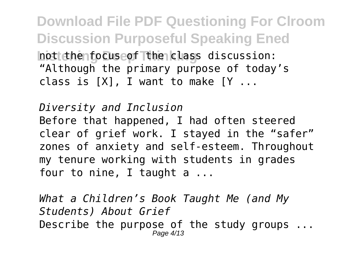**Download File PDF Questioning For Clroom Discussion Purposeful Speaking Ened** hot the focuse of the class discussion: "Although the primary purpose of today's class is  $[X]$ , I want to make  $[Y \dots]$ 

*Diversity and Inclusion* Before that happened, I had often steered clear of grief work. I stayed in the "safer" zones of anxiety and self-esteem. Throughout my tenure working with students in grades four to nine, I taught a ...

*What a Children's Book Taught Me (and My Students) About Grief* Describe the purpose of the study groups ... Page 4/13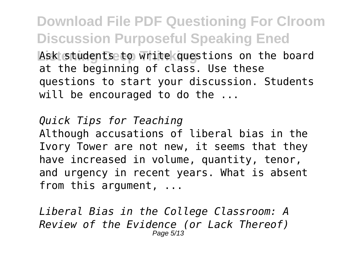**Download File PDF Questioning For Clroom Discussion Purposeful Speaking Ened** Ask students to write questions on the board at the beginning of class. Use these questions to start your discussion. Students will be encouraged to do the ...

*Quick Tips for Teaching* Although accusations of liberal bias in the Ivory Tower are not new, it seems that they have increased in volume, quantity, tenor, and urgency in recent years. What is absent from this argument, ...

*Liberal Bias in the College Classroom: A Review of the Evidence (or Lack Thereof)* Page 5/13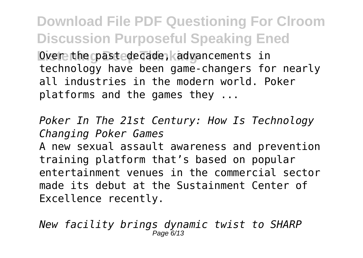**Download File PDF Questioning For Clroom Discussion Purposeful Speaking Ened** Dver the cpast edecade, kadvancements in technology have been game-changers for nearly all industries in the modern world. Poker platforms and the games they ...

*Poker In The 21st Century: How Is Technology Changing Poker Games*

A new sexual assault awareness and prevention training platform that's based on popular entertainment venues in the commercial sector made its debut at the Sustainment Center of Excellence recently.

*New facility brings dynamic twist to SHARP* Page 6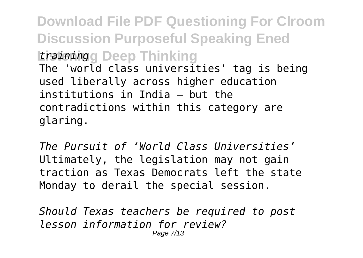**Download File PDF Questioning For Clroom Discussion Purposeful Speaking Ened Listening Deep Thinking** *training* The 'world class universities' tag is being used liberally across higher education institutions in India – but the contradictions within this category are glaring.

*The Pursuit of 'World Class Universities'* Ultimately, the legislation may not gain traction as Texas Democrats left the state Monday to derail the special session.

*Should Texas teachers be required to post lesson information for review?* Page 7/13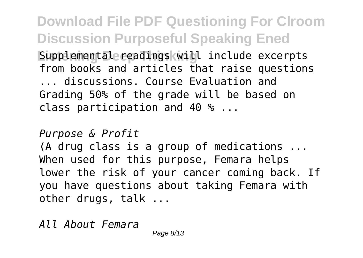**Download File PDF Questioning For Clroom Discussion Purposeful Speaking Ened Listemental readings will include excerpts** from books and articles that raise questions ... discussions. Course Evaluation and Grading 50% of the grade will be based on class participation and 40 % ...

## *Purpose & Profit*

(A drug class is a group of medications ... When used for this purpose, Femara helps lower the risk of your cancer coming back. If you have questions about taking Femara with other drugs, talk ...

*All About Femara*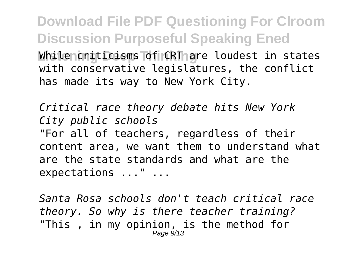**Download File PDF Questioning For Clroom Discussion Purposeful Speaking Ened While contricts of CRT are loudest in states** with conservative legislatures, the conflict has made its way to New York City.

*Critical race theory debate hits New York City public schools* "For all of teachers, regardless of their content area, we want them to understand what are the state standards and what are the expectations ..." ...

*Santa Rosa schools don't teach critical race theory. So why is there teacher training?* "This , in my opinion, is the method for Page  $9/13$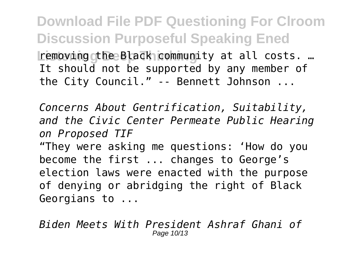**Download File PDF Questioning For Clroom Discussion Purposeful Speaking Ened** removing the Black community at all costs. … It should not be supported by any member of the City Council." -- Bennett Johnson ...

*Concerns About Gentrification, Suitability, and the Civic Center Permeate Public Hearing on Proposed TIF*

"They were asking me questions: 'How do you become the first ... changes to George's election laws were enacted with the purpose of denying or abridging the right of Black Georgians to ...

*Biden Meets With President Ashraf Ghani of* Page 10/13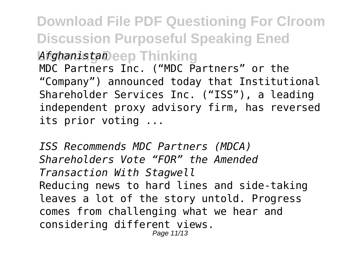**Download File PDF Questioning For Clroom Discussion Purposeful Speaking Ened Listening Deep Thinking** *Afghanistan* MDC Partners Inc. ("MDC Partners" or the "Company") announced today that Institutional Shareholder Services Inc. ("ISS"), a leading independent proxy advisory firm, has reversed its prior voting ...

*ISS Recommends MDC Partners (MDCA) Shareholders Vote "FOR" the Amended Transaction With Stagwell* Reducing news to hard lines and side-taking leaves a lot of the story untold. Progress comes from challenging what we hear and considering different views. Page 11/13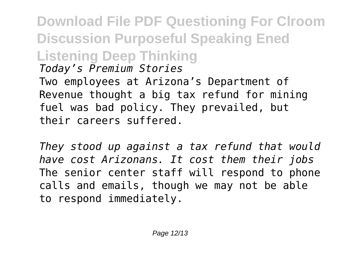**Download File PDF Questioning For Clroom Discussion Purposeful Speaking Ened Listening Deep Thinking** *Today's Premium Stories* Two employees at Arizona's Department of Revenue thought a big tax refund for mining fuel was bad policy. They prevailed, but their careers suffered.

*They stood up against a tax refund that would have cost Arizonans. It cost them their jobs* The senior center staff will respond to phone calls and emails, though we may not be able to respond immediately.